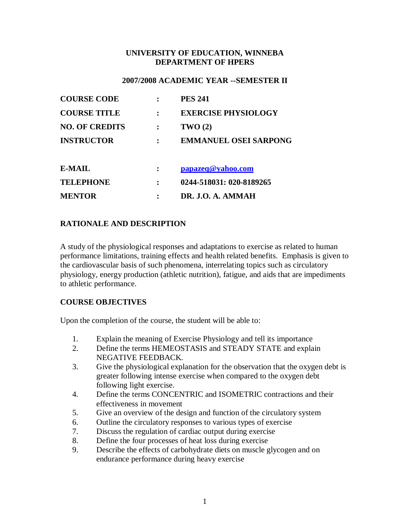### **UNIVERSITY OF EDUCATION, WINNEBA DEPARTMENT OF HPERS**

#### **2007/2008 ACADEMIC YEAR --SEMESTER II**

| <b>COURSE CODE</b>    | <b>PES 241</b>               |
|-----------------------|------------------------------|
| <b>COURSE TITLE</b>   | <b>EXERCISE PHYSIOLOGY</b>   |
| <b>NO. OF CREDITS</b> | TWO(2)                       |
| <b>INSTRUCTOR</b>     | <b>EMMANUEL OSEI SARPONG</b> |
| <b>E-MAIL</b>         | papazeq@yahoo.com            |
| <b>TELEPHONE</b>      | 0244-518031: 020-8189265     |
| <b>MENTOR</b>         | DR. J.O. A. AMMAH            |

# **RATIONALE AND DESCRIPTION**

A study of the physiological responses and adaptations to exercise as related to human performance limitations, training effects and health related benefits. Emphasis is given to the cardiovascular basis of such phenomena, interrelating topics such as circulatory physiology, energy production (athletic nutrition), fatigue, and aids that are impediments to athletic performance.

## **COURSE OBJECTIVES**

Upon the completion of the course, the student will be able to:

- 1. Explain the meaning of Exercise Physiology and tell its importance
- 2. Define the terms HEMEOSTASIS and STEADY STATE and explain NEGATIVE FEEDBACK.
- 3. Give the physiological explanation for the observation that the oxygen debt is greater following intense exercise when compared to the oxygen debt following light exercise.
- 4. Define the terms CONCENTRIC and ISOMETRIC contractions and their effectiveness in movement
- 5. Give an overview of the design and function of the circulatory system
- 6. Outline the circulatory responses to various types of exercise
- 7. Discuss the regulation of cardiac output during exercise
- 8. Define the four processes of heat loss during exercise
- 9. Describe the effects of carbohydrate diets on muscle glycogen and on endurance performance during heavy exercise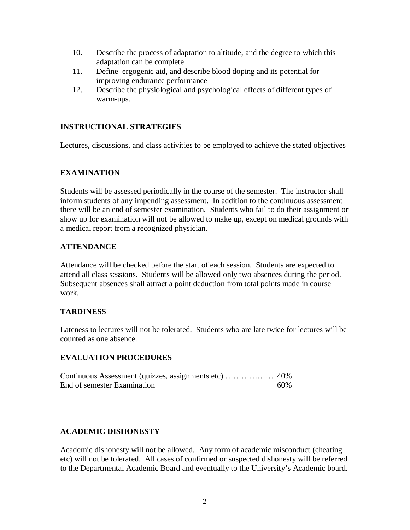- 10. Describe the process of adaptation to altitude, and the degree to which this adaptation can be complete.
- 11. Define ergogenic aid, and describe blood doping and its potential for improving endurance performance
- 12. Describe the physiological and psychological effects of different types of warm-ups.

# **INSTRUCTIONAL STRATEGIES**

Lectures, discussions, and class activities to be employed to achieve the stated objectives

# **EXAMINATION**

Students will be assessed periodically in the course of the semester. The instructor shall inform students of any impending assessment. In addition to the continuous assessment there will be an end of semester examination. Students who fail to do their assignment or show up for examination will not be allowed to make up, except on medical grounds with a medical report from a recognized physician.

## **ATTENDANCE**

Attendance will be checked before the start of each session. Students are expected to attend all class sessions. Students will be allowed only two absences during the period. Subsequent absences shall attract a point deduction from total points made in course work.

## **TARDINESS**

Lateness to lectures will not be tolerated. Students who are late twice for lectures will be counted as one absence.

## **EVALUATION PROCEDURES**

Continuous Assessment (quizzes, assignments etc) ……………… 40% End of semester Examination 60%

# **ACADEMIC DISHONESTY**

Academic dishonesty will not be allowed. Any form of academic misconduct (cheating etc) will not be tolerated. All cases of confirmed or suspected dishonesty will be referred to the Departmental Academic Board and eventually to the University's Academic board.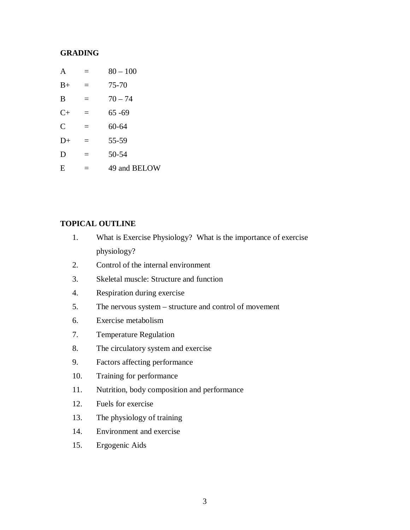### **GRADING**

| A             | $=$ | $80 - 100$   |
|---------------|-----|--------------|
| $B+$          | $=$ | 75-70        |
| B             | $=$ | $70 - 74$    |
| $C+$          | $=$ | $65 - 69$    |
| $\mathcal{C}$ | $=$ | $60 - 64$    |
| $D+$          | $=$ | 55-59        |
| D             | $=$ | 50-54        |
| E             | =   | 49 and BELOW |

#### **TOPICAL OUTLINE**

- 1. What is Exercise Physiology? What is the importance of exercise physiology?
- 2. Control of the internal environment
- 3. Skeletal muscle: Structure and function
- 4. Respiration during exercise
- 5. The nervous system structure and control of movement
- 6. Exercise metabolism
- 7. Temperature Regulation
- 8. The circulatory system and exercise
- 9. Factors affecting performance
- 10. Training for performance
- 11. Nutrition, body composition and performance
- 12. Fuels for exercise
- 13. The physiology of training
- 14. Environment and exercise
- 15. Ergogenic Aids